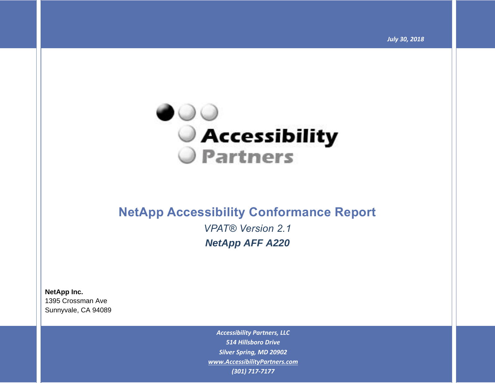*July 30, 2018*



# **NetApp Accessibility Conformance Report**

*VPAT® Version 2.1 NetApp AFF A220*

**NetApp Inc.**

1395 Crossman Ave Sunnyvale, CA 94089

> *Accessibility Partners, LLC 514 Hillsboro Drive Silver Spring, MD 20902 [www.AccessibilityPartners.com](http://www.accessibilitypartners.com/) (301) 717-7177*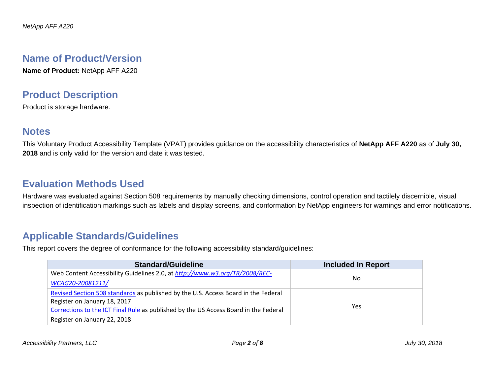## **Name of Product/Version**

**Name of Product:** NetApp AFF A220

## **Product Description**

Product is storage hardware.

### **Notes**

This Voluntary Product Accessibility Template (VPAT) provides guidance on the accessibility characteristics of **NetApp AFF A220** as of **July 30, 2018** and is only valid for the version and date it was tested.

## **Evaluation Methods Used**

Hardware was evaluated against Section 508 requirements by manually checking dimensions, control operation and tactilely discernible, visual inspection of identification markings such as labels and display screens, and conformation by NetApp engineers for warnings and error notifications.

## **Applicable Standards/Guidelines**

This report covers the degree of conformance for the following accessibility standard/guidelines:

| <b>Standard/Guideline</b>                                                            | <b>Included In Report</b> |
|--------------------------------------------------------------------------------------|---------------------------|
| Web Content Accessibility Guidelines 2.0, at http://www.w3.org/TR/2008/REC-          |                           |
| WCAG20-20081211/                                                                     | No.                       |
| Revised Section 508 standards as published by the U.S. Access Board in the Federal   |                           |
| Register on January 18, 2017                                                         |                           |
| Corrections to the ICT Final Rule as published by the US Access Board in the Federal | Yes                       |
| Register on January 22, 2018                                                         |                           |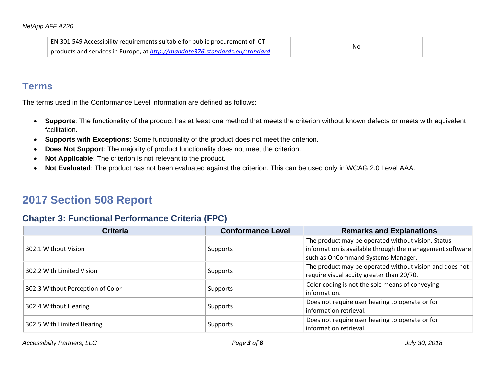| EN 301 549 Accessibility requirements suitable for public procurement of ICT |    |
|------------------------------------------------------------------------------|----|
| products and services in Europe, at http://mandate376.standards.eu/standard  | No |

## **Terms**

The terms used in the Conformance Level information are defined as follows:

- **Supports**: The functionality of the product has at least one method that meets the criterion without known defects or meets with equivalent facilitation.
- **Supports with Exceptions**: Some functionality of the product does not meet the criterion.
- **Does Not Support**: The majority of product functionality does not meet the criterion.
- **Not Applicable**: The criterion is not relevant to the product.
- **Not Evaluated**: The product has not been evaluated against the criterion. This can be used only in WCAG 2.0 Level AAA.

# **2017 Section 508 Report**

### **Chapter 3: Functional Performance Criteria (FPC)**

| <b>Criteria</b>                        | <b>Conformance Level</b>                  | <b>Remarks and Explanations</b>                          |
|----------------------------------------|-------------------------------------------|----------------------------------------------------------|
|                                        |                                           | The product may be operated without vision. Status       |
| 302.1 Without Vision                   | Supports                                  | information is available through the management software |
|                                        |                                           | such as OnCommand Systems Manager.                       |
| 302.2 With Limited Vision              |                                           | The product may be operated without vision and does not  |
| <b>Supports</b>                        | require visual acuity greater than 20/70. |                                                          |
| 302.3 Without Perception of Color      | <b>Supports</b>                           | Color coding is not the sole means of conveying          |
|                                        |                                           | information.                                             |
| 302.4 Without Hearing                  |                                           | Does not require user hearing to operate or for          |
| Supports                               | information retrieval.                    |                                                          |
| 302.5 With Limited Hearing<br>Supports |                                           | Does not require user hearing to operate or for          |
|                                        | information retrieval.                    |                                                          |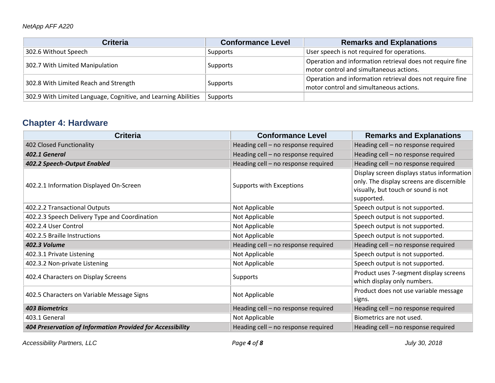#### *NetApp AFF A220*

| <b>Criteria</b>                                                | <b>Conformance Level</b> | <b>Remarks and Explanations</b>                                                                      |
|----------------------------------------------------------------|--------------------------|------------------------------------------------------------------------------------------------------|
| 302.6 Without Speech                                           | Supports                 | User speech is not required for operations.                                                          |
| 302.7 With Limited Manipulation                                | Supports                 | Operation and information retrieval does not require fine<br>motor control and simultaneous actions. |
| 302.8 With Limited Reach and Strength                          | Supports                 | Operation and information retrieval does not require fine<br>motor control and simultaneous actions. |
| 302.9 With Limited Language, Cognitive, and Learning Abilities | Supports                 |                                                                                                      |

## **Chapter 4: Hardware**

| <b>Criteria</b>                                            | <b>Conformance Level</b>            | <b>Remarks and Explanations</b>                                                                                                              |
|------------------------------------------------------------|-------------------------------------|----------------------------------------------------------------------------------------------------------------------------------------------|
| 402 Closed Functionality                                   | Heading cell - no response required | Heading cell - no response required                                                                                                          |
| 402.1 General                                              | Heading cell - no response required | Heading cell - no response required                                                                                                          |
| 402.2 Speech-Output Enabled                                | Heading cell - no response required | Heading cell - no response required                                                                                                          |
| 402.2.1 Information Displayed On-Screen                    | Supports with Exceptions            | Display screen displays status information<br>only. The display screens are discernible<br>visually, but touch or sound is not<br>supported. |
| 402.2.2 Transactional Outputs                              | Not Applicable                      | Speech output is not supported.                                                                                                              |
| 402.2.3 Speech Delivery Type and Coordination              | Not Applicable                      | Speech output is not supported.                                                                                                              |
| 402.2.4 User Control                                       | Not Applicable                      | Speech output is not supported.                                                                                                              |
| 402.2.5 Braille Instructions                               | Not Applicable                      | Speech output is not supported.                                                                                                              |
| <b>402.3 Volume</b>                                        | Heading cell - no response required | Heading cell - no response required                                                                                                          |
| 402.3.1 Private Listening                                  | Not Applicable                      | Speech output is not supported.                                                                                                              |
| 402.3.2 Non-private Listening                              | Not Applicable                      | Speech output is not supported.                                                                                                              |
| 402.4 Characters on Display Screens                        | <b>Supports</b>                     | Product uses 7-segment display screens<br>which display only numbers.                                                                        |
| 402.5 Characters on Variable Message Signs                 | Not Applicable                      | Product does not use variable message<br>signs.                                                                                              |
| <b>403 Biometrics</b>                                      | Heading cell - no response required | Heading cell - no response required                                                                                                          |
| 403.1 General                                              | Not Applicable                      | Biometrics are not used.                                                                                                                     |
| 404 Preservation of Information Provided for Accessibility | Heading cell - no response required | Heading cell - no response required                                                                                                          |

*Accessibility Partners, LLC Page 4 of 8 July 30, 2018*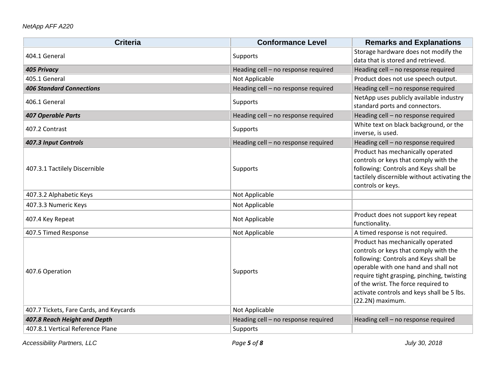#### *NetApp AFF A220*

| <b>Criteria</b>                         | <b>Conformance Level</b>            | <b>Remarks and Explanations</b>                                                                                                                                                                                                                                                                                    |
|-----------------------------------------|-------------------------------------|--------------------------------------------------------------------------------------------------------------------------------------------------------------------------------------------------------------------------------------------------------------------------------------------------------------------|
| 404.1 General                           | Supports                            | Storage hardware does not modify the<br>data that is stored and retrieved.                                                                                                                                                                                                                                         |
| <b>405 Privacy</b>                      | Heading cell - no response required | Heading cell - no response required                                                                                                                                                                                                                                                                                |
| 405.1 General                           | Not Applicable                      | Product does not use speech output.                                                                                                                                                                                                                                                                                |
| <b>406 Standard Connections</b>         | Heading cell - no response required | Heading cell - no response required                                                                                                                                                                                                                                                                                |
| 406.1 General                           | Supports                            | NetApp uses publicly available industry<br>standard ports and connectors.                                                                                                                                                                                                                                          |
| <b>407 Operable Parts</b>               | Heading cell - no response required | Heading cell - no response required                                                                                                                                                                                                                                                                                |
| 407.2 Contrast                          | Supports                            | White text on black background, or the<br>inverse, is used.                                                                                                                                                                                                                                                        |
| 407.3 Input Controls                    | Heading cell - no response required | Heading cell - no response required                                                                                                                                                                                                                                                                                |
| 407.3.1 Tactilely Discernible           | Supports                            | Product has mechanically operated<br>controls or keys that comply with the<br>following: Controls and Keys shall be<br>tactilely discernible without activating the<br>controls or keys.                                                                                                                           |
| 407.3.2 Alphabetic Keys                 | Not Applicable                      |                                                                                                                                                                                                                                                                                                                    |
| 407.3.3 Numeric Keys                    | Not Applicable                      |                                                                                                                                                                                                                                                                                                                    |
| 407.4 Key Repeat                        | Not Applicable                      | Product does not support key repeat<br>functionality.                                                                                                                                                                                                                                                              |
| 407.5 Timed Response                    | Not Applicable                      | A timed response is not required.                                                                                                                                                                                                                                                                                  |
| 407.6 Operation                         | Supports                            | Product has mechanically operated<br>controls or keys that comply with the<br>following: Controls and Keys shall be<br>operable with one hand and shall not<br>require tight grasping, pinching, twisting<br>of the wrist. The force required to<br>activate controls and keys shall be 5 lbs.<br>(22.2N) maximum. |
| 407.7 Tickets, Fare Cards, and Keycards | Not Applicable                      |                                                                                                                                                                                                                                                                                                                    |
| 407.8 Reach Height and Depth            | Heading cell - no response required | Heading cell - no response required                                                                                                                                                                                                                                                                                |
| 407.8.1 Vertical Reference Plane        | Supports                            |                                                                                                                                                                                                                                                                                                                    |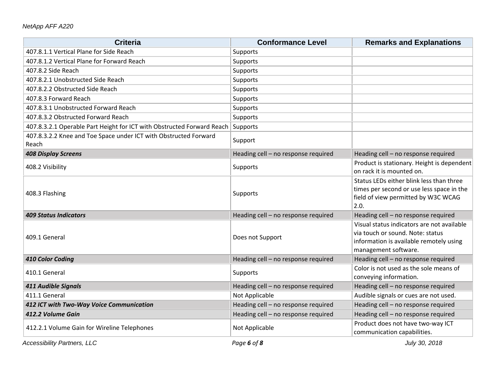| <b>Criteria</b>                                                           | <b>Conformance Level</b>            | <b>Remarks and Explanations</b>                                                                                                                   |
|---------------------------------------------------------------------------|-------------------------------------|---------------------------------------------------------------------------------------------------------------------------------------------------|
| 407.8.1.1 Vertical Plane for Side Reach                                   | Supports                            |                                                                                                                                                   |
| 407.8.1.2 Vertical Plane for Forward Reach                                | Supports                            |                                                                                                                                                   |
| 407.8.2 Side Reach                                                        | Supports                            |                                                                                                                                                   |
| 407.8.2.1 Unobstructed Side Reach                                         | Supports                            |                                                                                                                                                   |
| 407.8.2.2 Obstructed Side Reach                                           | Supports                            |                                                                                                                                                   |
| 407.8.3 Forward Reach                                                     | Supports                            |                                                                                                                                                   |
| 407.8.3.1 Unobstructed Forward Reach                                      | Supports                            |                                                                                                                                                   |
| 407.8.3.2 Obstructed Forward Reach                                        | Supports                            |                                                                                                                                                   |
| 407.8.3.2.1 Operable Part Height for ICT with Obstructed Forward Reach    | Supports                            |                                                                                                                                                   |
| 407.8.3.2.2 Knee and Toe Space under ICT with Obstructed Forward<br>Reach | Support                             |                                                                                                                                                   |
| <b>408 Display Screens</b>                                                | Heading cell - no response required | Heading cell - no response required                                                                                                               |
| 408.2 Visibility                                                          | Supports                            | Product is stationary. Height is dependent<br>on rack it is mounted on.                                                                           |
| 408.3 Flashing                                                            | Supports                            | Status LEDs either blink less than three<br>times per second or use less space in the<br>field of view permitted by W3C WCAG<br>2.0.              |
| <b>409 Status Indicators</b>                                              | Heading cell - no response required | Heading cell - no response required                                                                                                               |
| 409.1 General                                                             | Does not Support                    | Visual status indicators are not available<br>via touch or sound. Note: status<br>information is available remotely using<br>management software. |
| 410 Color Coding                                                          | Heading cell - no response required | Heading cell - no response required                                                                                                               |
| 410.1 General                                                             | Supports                            | Color is not used as the sole means of<br>conveying information.                                                                                  |
| 411 Audible Signals                                                       | Heading cell - no response required | Heading cell - no response required                                                                                                               |
| 411.1 General                                                             | Not Applicable                      | Audible signals or cues are not used.                                                                                                             |
| 412 ICT with Two-Way Voice Communication                                  | Heading cell - no response required | Heading cell - no response required                                                                                                               |
| 412.2 Volume Gain                                                         | Heading cell - no response required | Heading cell - no response required                                                                                                               |
| 412.2.1 Volume Gain for Wireline Telephones                               | Not Applicable                      | Product does not have two-way ICT<br>communication capabilities.                                                                                  |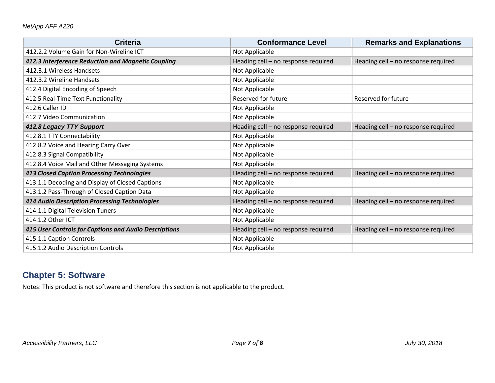| <b>Criteria</b>                                       | <b>Conformance Level</b>            | <b>Remarks and Explanations</b>     |
|-------------------------------------------------------|-------------------------------------|-------------------------------------|
| 412.2.2 Volume Gain for Non-Wireline ICT              | Not Applicable                      |                                     |
| 412.3 Interference Reduction and Magnetic Coupling    | Heading cell - no response required | Heading cell - no response required |
| 412.3.1 Wireless Handsets                             | Not Applicable                      |                                     |
| 412.3.2 Wireline Handsets                             | Not Applicable                      |                                     |
| 412.4 Digital Encoding of Speech                      | Not Applicable                      |                                     |
| 412.5 Real-Time Text Functionality                    | Reserved for future                 | Reserved for future                 |
| 412.6 Caller ID                                       | Not Applicable                      |                                     |
| 412.7 Video Communication                             | Not Applicable                      |                                     |
| 412.8 Legacy TTY Support                              | Heading cell - no response required | Heading cell - no response required |
| 412.8.1 TTY Connectability                            | Not Applicable                      |                                     |
| 412.8.2 Voice and Hearing Carry Over                  | Not Applicable                      |                                     |
| 412.8.3 Signal Compatibility                          | Not Applicable                      |                                     |
| 412.8.4 Voice Mail and Other Messaging Systems        | Not Applicable                      |                                     |
| <b>413 Closed Caption Processing Technologies</b>     | Heading cell - no response required | Heading cell - no response required |
| 413.1.1 Decoding and Display of Closed Captions       | Not Applicable                      |                                     |
| 413.1.2 Pass-Through of Closed Caption Data           | Not Applicable                      |                                     |
| 414 Audio Description Processing Technologies         | Heading cell - no response required | Heading cell - no response required |
| 414.1.1 Digital Television Tuners                     | Not Applicable                      |                                     |
| 414.1.2 Other ICT                                     | Not Applicable                      |                                     |
| 415 User Controls for Captions and Audio Descriptions | Heading cell - no response required | Heading cell - no response required |
| 415.1.1 Caption Controls                              | Not Applicable                      |                                     |
| 415.1.2 Audio Description Controls                    | Not Applicable                      |                                     |

## **Chapter 5: Software**

Notes: This product is not software and therefore this section is not applicable to the product.